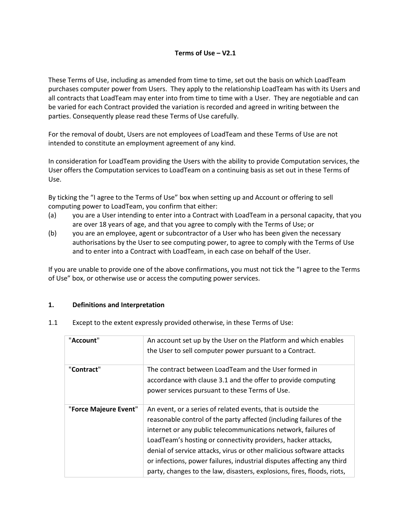#### **Terms of Use – V2.1**

These Terms of Use, including as amended from time to time, set out the basis on which LoadTeam purchases computer power from Users. They apply to the relationship LoadTeam has with its Users and all contracts that LoadTeam may enter into from time to time with a User. They are negotiable and can be varied for each Contract provided the variation is recorded and agreed in writing between the parties. Consequently please read these Terms of Use carefully.

For the removal of doubt, Users are not employees of LoadTeam and these Terms of Use are not intended to constitute an employment agreement of any kind.

In consideration for LoadTeam providing the Users with the ability to provide Computation services, the User offers the Computation services to LoadTeam on a continuing basis as set out in these Terms of Use.

By ticking the "I agree to the Terms of Use" box when setting up and Account or offering to sell computing power to LoadTeam, you confirm that either:

- (a) you are a User intending to enter into a Contract with LoadTeam in a personal capacity, that you are over 18 years of age, and that you agree to comply with the Terms of Use; or
- (b) you are an employee, agent or subcontractor of a User who has been given the necessary authorisations by the User to see computing power, to agree to comply with the Terms of Use and to enter into a Contract with LoadTeam, in each case on behalf of the User.

If you are unable to provide one of the above confirmations, you must not tick the "I agree to the Terms of Use" box, or otherwise use or access the computing power services.

#### **1. Definitions and Interpretation**

| 1.1 | Except to the extent expressly provided otherwise, in these Terms of Use: |  |  |
|-----|---------------------------------------------------------------------------|--|--|
|     |                                                                           |  |  |

| "Account"             | An account set up by the User on the Platform and which enables<br>the User to sell computer power pursuant to a Contract.                                                                                                                                                                                                                                                                                                                                                                          |
|-----------------------|-----------------------------------------------------------------------------------------------------------------------------------------------------------------------------------------------------------------------------------------------------------------------------------------------------------------------------------------------------------------------------------------------------------------------------------------------------------------------------------------------------|
| "Contract"            | The contract between LoadTeam and the User formed in<br>accordance with clause 3.1 and the offer to provide computing<br>power services pursuant to these Terms of Use.                                                                                                                                                                                                                                                                                                                             |
| "Force Majeure Event" | An event, or a series of related events, that is outside the<br>reasonable control of the party affected (including failures of the<br>internet or any public telecommunications network, failures of<br>LoadTeam's hosting or connectivity providers, hacker attacks,<br>denial of service attacks, virus or other malicious software attacks<br>or infections, power failures, industrial disputes affecting any third<br>party, changes to the law, disasters, explosions, fires, floods, riots, |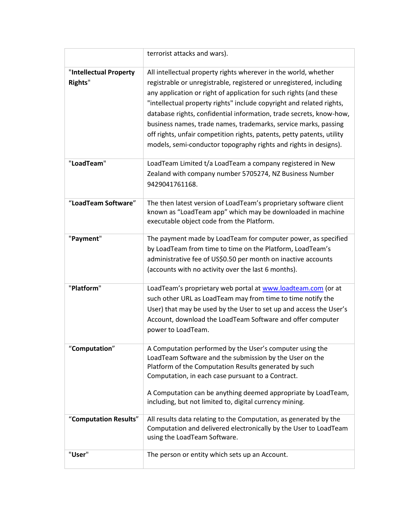|                                          | terrorist attacks and wars).                                                                                                                                                                                                                                                                                                                                                                                                                                                                                                                                                 |
|------------------------------------------|------------------------------------------------------------------------------------------------------------------------------------------------------------------------------------------------------------------------------------------------------------------------------------------------------------------------------------------------------------------------------------------------------------------------------------------------------------------------------------------------------------------------------------------------------------------------------|
| "Intellectual Property<br><b>Rights"</b> | All intellectual property rights wherever in the world, whether<br>registrable or unregistrable, registered or unregistered, including<br>any application or right of application for such rights (and these<br>"intellectual property rights" include copyright and related rights,<br>database rights, confidential information, trade secrets, know-how,<br>business names, trade names, trademarks, service marks, passing<br>off rights, unfair competition rights, patents, petty patents, utility<br>models, semi-conductor topography rights and rights in designs). |
| "LoadTeam"                               | LoadTeam Limited t/a LoadTeam a company registered in New<br>Zealand with company number 5705274, NZ Business Number<br>9429041761168.                                                                                                                                                                                                                                                                                                                                                                                                                                       |
| "LoadTeam Software"                      | The then latest version of LoadTeam's proprietary software client<br>known as "LoadTeam app" which may be downloaded in machine<br>executable object code from the Platform.                                                                                                                                                                                                                                                                                                                                                                                                 |
| "Payment"                                | The payment made by LoadTeam for computer power, as specified<br>by LoadTeam from time to time on the Platform, LoadTeam's<br>administrative fee of US\$0.50 per month on inactive accounts<br>(accounts with no activity over the last 6 months).                                                                                                                                                                                                                                                                                                                           |
| "Platform"                               | LoadTeam's proprietary web portal at www.loadteam.com (or at<br>such other URL as LoadTeam may from time to time notify the<br>User) that may be used by the User to set up and access the User's<br>Account, download the LoadTeam Software and offer computer<br>power to LoadTeam.                                                                                                                                                                                                                                                                                        |
| "Computation"                            | A Computation performed by the User's computer using the<br>LoadTeam Software and the submission by the User on the<br>Platform of the Computation Results generated by such<br>Computation, in each case pursuant to a Contract.<br>A Computation can be anything deemed appropriate by LoadTeam,<br>including, but not limited to, digital currency mining.                                                                                                                                                                                                                |
| "Computation Results"                    | All results data relating to the Computation, as generated by the<br>Computation and delivered electronically by the User to LoadTeam<br>using the LoadTeam Software.                                                                                                                                                                                                                                                                                                                                                                                                        |
| "User"                                   | The person or entity which sets up an Account.                                                                                                                                                                                                                                                                                                                                                                                                                                                                                                                               |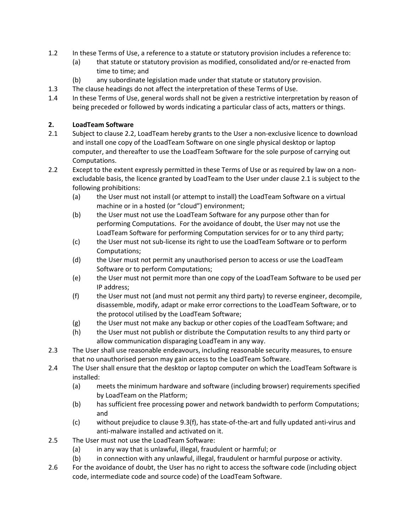- 1.2 In these Terms of Use, a reference to a statute or statutory provision includes a reference to:
	- (a) that statute or statutory provision as modified, consolidated and/or re-enacted from time to time; and
	- (b) any subordinate legislation made under that statute or statutory provision.
- 1.3 The clause headings do not affect the interpretation of these Terms of Use.
- 1.4 In these Terms of Use, general words shall not be given a restrictive interpretation by reason of being preceded or followed by words indicating a particular class of acts, matters or things.

### **2. LoadTeam Software**

- 2.1 Subject to clause 2.2, LoadTeam hereby grants to the User a non-exclusive licence to download and install one copy of the LoadTeam Software on one single physical desktop or laptop computer, and thereafter to use the LoadTeam Software for the sole purpose of carrying out Computations.
- 2.2 Except to the extent expressly permitted in these Terms of Use or as required by law on a nonexcludable basis, the licence granted by LoadTeam to the User under clause 2.1 is subject to the following prohibitions:
	- (a) the User must not install (or attempt to install) the LoadTeam Software on a virtual machine or in a hosted (or "cloud") environment;
	- (b) the User must not use the LoadTeam Software for any purpose other than for performing Computations. For the avoidance of doubt, the User may not use the LoadTeam Software for performing Computation services for or to any third party;
	- (c) the User must not sub-license its right to use the LoadTeam Software or to perform Computations;
	- (d) the User must not permit any unauthorised person to access or use the LoadTeam Software or to perform Computations;
	- (e) the User must not permit more than one copy of the LoadTeam Software to be used per IP address;
	- (f) the User must not (and must not permit any third party) to reverse engineer, decompile, disassemble, modify, adapt or make error corrections to the LoadTeam Software, or to the protocol utilised by the LoadTeam Software;
	- (g) the User must not make any backup or other copies of the LoadTeam Software; and
	- (h) the User must not publish or distribute the Computation results to any third party or allow communication disparaging LoadTeam in any way.
- 2.3 The User shall use reasonable endeavours, including reasonable security measures, to ensure that no unauthorised person may gain access to the LoadTeam Software.
- 2.4 The User shall ensure that the desktop or laptop computer on which the LoadTeam Software is installed:
	- (a) meets the minimum hardware and software (including browser) requirements specified by LoadTeam on the Platform;
	- (b) has sufficient free processing power and network bandwidth to perform Computations; and
	- (c) without prejudice to clause 9.3(f), has state-of-the-art and fully updated anti-virus and anti-malware installed and activated on it.
- 2.5 The User must not use the LoadTeam Software:
	- (a) in any way that is unlawful, illegal, fraudulent or harmful; or
	- (b) in connection with any unlawful, illegal, fraudulent or harmful purpose or activity.
- 2.6 For the avoidance of doubt, the User has no right to access the software code (including object code, intermediate code and source code) of the LoadTeam Software.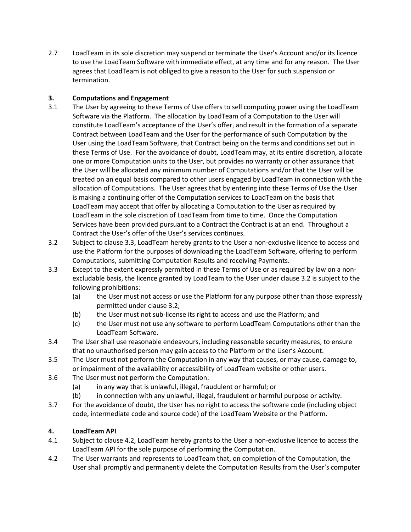2.7 LoadTeam in its sole discretion may suspend or terminate the User's Account and/or its licence to use the LoadTeam Software with immediate effect, at any time and for any reason. The User agrees that LoadTeam is not obliged to give a reason to the User for such suspension or termination.

## **3. Computations and Engagement**

- 3.1 The User by agreeing to these Terms of Use offers to sell computing power using the LoadTeam Software via the Platform. The allocation by LoadTeam of a Computation to the User will constitute LoadTeam's acceptance of the User's offer, and result in the formation of a separate Contract between LoadTeam and the User for the performance of such Computation by the User using the LoadTeam Software, that Contract being on the terms and conditions set out in these Terms of Use. For the avoidance of doubt, LoadTeam may, at its entire discretion, allocate one or more Computation units to the User, but provides no warranty or other assurance that the User will be allocated any minimum number of Computations and/or that the User will be treated on an equal basis compared to other users engaged by LoadTeam in connection with the allocation of Computations. The User agrees that by entering into these Terms of Use the User is making a continuing offer of the Computation services to LoadTeam on the basis that LoadTeam may accept that offer by allocating a Computation to the User as required by LoadTeam in the sole discretion of LoadTeam from time to time. Once the Computation Services have been provided pursuant to a Contract the Contract is at an end. Throughout a Contract the User's offer of the User's services continues.
- 3.2 Subject to clause 3.3, LoadTeam hereby grants to the User a non-exclusive licence to access and use the Platform for the purposes of downloading the LoadTeam Software, offering to perform Computations, submitting Computation Results and receiving Payments.
- 3.3 Except to the extent expressly permitted in these Terms of Use or as required by law on a nonexcludable basis, the licence granted by LoadTeam to the User under clause 3.2 is subject to the following prohibitions:
	- (a) the User must not access or use the Platform for any purpose other than those expressly permitted under clause 3.2;
	- (b) the User must not sub-license its right to access and use the Platform; and
	- (c) the User must not use any software to perform LoadTeam Computations other than the LoadTeam Software.
- 3.4 The User shall use reasonable endeavours, including reasonable security measures, to ensure that no unauthorised person may gain access to the Platform or the User's Account.
- 3.5 The User must not perform the Computation in any way that causes, or may cause, damage to, or impairment of the availability or accessibility of LoadTeam website or other users.
- 3.6 The User must not perform the Computation:
	- (a) in any way that is unlawful, illegal, fraudulent or harmful; or
	- (b) in connection with any unlawful, illegal, fraudulent or harmful purpose or activity.
- 3.7 For the avoidance of doubt, the User has no right to access the software code (including object code, intermediate code and source code) of the LoadTeam Website or the Platform.

# **4. LoadTeam API**

- 4.1 Subject to clause 4.2, LoadTeam hereby grants to the User a non-exclusive licence to access the LoadTeam API for the sole purpose of performing the Computation.
- 4.2 The User warrants and represents to LoadTeam that, on completion of the Computation, the User shall promptly and permanently delete the Computation Results from the User's computer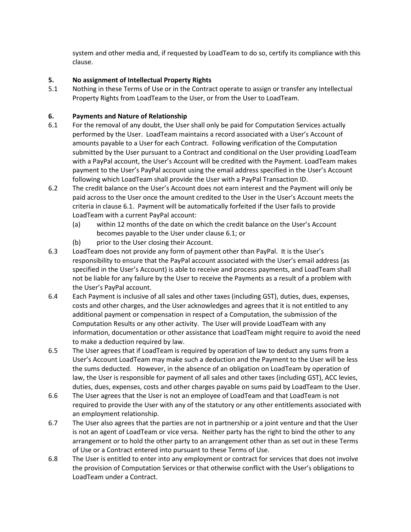system and other media and, if requested by LoadTeam to do so, certify its compliance with this clause.

### **5. No assignment of Intellectual Property Rights**

5.1 Nothing in these Terms of Use or in the Contract operate to assign or transfer any Intellectual Property Rights from LoadTeam to the User, or from the User to LoadTeam.

## **6. Payments and Nature of Relationship**

- 6.1 For the removal of any doubt, the User shall only be paid for Computation Services actually performed by the User. LoadTeam maintains a record associated with a User's Account of amounts payable to a User for each Contract. Following verification of the Computation submitted by the User pursuant to a Contract and conditional on the User providing LoadTeam with a PayPal account, the User's Account will be credited with the Payment. LoadTeam makes payment to the User's PayPal account using the email address specified in the User's Account following which LoadTeam shall provide the User with a PayPal Transaction ID.
- 6.2 The credit balance on the User's Account does not earn interest and the Payment will only be paid across to the User once the amount credited to the User in the User's Account meets the criteria in clause 6.1. Payment will be automatically forfeited if the User fails to provide LoadTeam with a current PayPal account:
	- (a) within 12 months of the date on which the credit balance on the User's Account becomes payable to the User under clause 6.1; or
	- (b) prior to the User closing their Account.
- 6.3 LoadTeam does not provide any form of payment other than PayPal. It is the User's responsibility to ensure that the PayPal account associated with the User's email address (as specified in the User's Account) is able to receive and process payments, and LoadTeam shall not be liable for any failure by the User to receive the Payments as a result of a problem with the User's PayPal account.
- 6.4 Each Payment is inclusive of all sales and other taxes (including GST), duties, dues, expenses, costs and other charges, and the User acknowledges and agrees that it is not entitled to any additional payment or compensation in respect of a Computation, the submission of the Computation Results or any other activity. The User will provide LoadTeam with any information, documentation or other assistance that LoadTeam might require to avoid the need to make a deduction required by law.
- 6.5 The User agrees that if LoadTeam is required by operation of law to deduct any sums from a User's Account LoadTeam may make such a deduction and the Payment to the User will be less the sums deducted. However, in the absence of an obligation on LoadTeam by operation of law, the User is responsible for payment of all sales and other taxes (including GST), ACC levies, duties, dues, expenses, costs and other charges payable on sums paid by LoadTeam to the User.
- 6.6 The User agrees that the User is not an employee of LoadTeam and that LoadTeam is not required to provide the User with any of the statutory or any other entitlements associated with an employment relationship.
- 6.7 The User also agrees that the parties are not in partnership or a joint venture and that the User is not an agent of LoadTeam or vice versa. Neither party has the right to bind the other to any arrangement or to hold the other party to an arrangement other than as set out in these Terms of Use or a Contract entered into pursuant to these Terms of Use.
- 6.8 The User is entitled to enter into any employment or contract for services that does not involve the provision of Computation Services or that otherwise conflict with the User's obligations to LoadTeam under a Contract.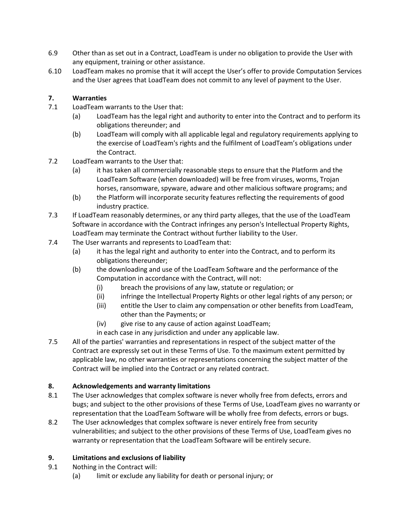- 6.9 Other than as set out in a Contract, LoadTeam is under no obligation to provide the User with any equipment, training or other assistance.
- 6.10 LoadTeam makes no promise that it will accept the User's offer to provide Computation Services and the User agrees that LoadTeam does not commit to any level of payment to the User.

# **7. Warranties**

- 7.1 LoadTeam warrants to the User that:
	- (a) LoadTeam has the legal right and authority to enter into the Contract and to perform its obligations thereunder; and
	- (b) LoadTeam will comply with all applicable legal and regulatory requirements applying to the exercise of LoadTeam's rights and the fulfilment of LoadTeam's obligations under the Contract.
- 7.2 LoadTeam warrants to the User that:
	- (a) it has taken all commercially reasonable steps to ensure that the Platform and the LoadTeam Software (when downloaded) will be free from viruses, worms, Trojan horses, ransomware, spyware, adware and other malicious software programs; and
	- (b) the Platform will incorporate security features reflecting the requirements of good industry practice.
- 7.3 If LoadTeam reasonably determines, or any third party alleges, that the use of the LoadTeam Software in accordance with the Contract infringes any person's Intellectual Property Rights, LoadTeam may terminate the Contract without further liability to the User.
- 7.4 The User warrants and represents to LoadTeam that:
	- (a) it has the legal right and authority to enter into the Contract, and to perform its obligations thereunder;
	- (b) the downloading and use of the LoadTeam Software and the performance of the Computation in accordance with the Contract, will not:
		- (i) breach the provisions of any law, statute or regulation; or
		- (ii) infringe the Intellectual Property Rights or other legal rights of any person; or
		- (iii) entitle the User to claim any compensation or other benefits from LoadTeam, other than the Payments; or
		- (iv) give rise to any cause of action against LoadTeam;
		- in each case in any jurisdiction and under any applicable law.
- 7.5 All of the parties' warranties and representations in respect of the subject matter of the Contract are expressly set out in these Terms of Use. To the maximum extent permitted by applicable law, no other warranties or representations concerning the subject matter of the Contract will be implied into the Contract or any related contract.

# **8. Acknowledgements and warranty limitations**

- 8.1 The User acknowledges that complex software is never wholly free from defects, errors and bugs; and subject to the other provisions of these Terms of Use, LoadTeam gives no warranty or representation that the LoadTeam Software will be wholly free from defects, errors or bugs.
- 8.2 The User acknowledges that complex software is never entirely free from security vulnerabilities; and subject to the other provisions of these Terms of Use, LoadTeam gives no warranty or representation that the LoadTeam Software will be entirely secure.

# **9. Limitations and exclusions of liability**

- 9.1 Nothing in the Contract will:
	- (a) limit or exclude any liability for death or personal injury; or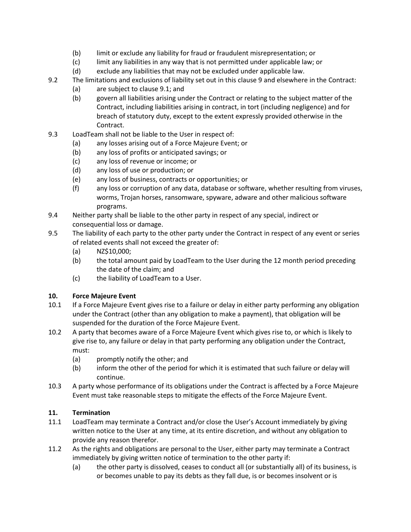- (b) limit or exclude any liability for fraud or fraudulent misrepresentation; or
- (c) limit any liabilities in any way that is not permitted under applicable law; or
- (d) exclude any liabilities that may not be excluded under applicable law.
- 9.2 The limitations and exclusions of liability set out in this clause 9 and elsewhere in the Contract:
	- (a) are subject to clause 9.1; and
	- (b) govern all liabilities arising under the Contract or relating to the subject matter of the Contract, including liabilities arising in contract, in tort (including negligence) and for breach of statutory duty, except to the extent expressly provided otherwise in the Contract.
- 9.3 LoadTeam shall not be liable to the User in respect of:
	- (a) any losses arising out of a Force Majeure Event; or
	- (b) any loss of profits or anticipated savings; or
	- (c) any loss of revenue or income; or
	- (d) any loss of use or production; or
	- (e) any loss of business, contracts or opportunities; or
	- (f) any loss or corruption of any data, database or software, whether resulting from viruses, worms, Trojan horses, ransomware, spyware, adware and other malicious software programs.
- 9.4 Neither party shall be liable to the other party in respect of any special, indirect or consequential loss or damage.
- 9.5 The liability of each party to the other party under the Contract in respect of any event or series of related events shall not exceed the greater of:
	- (a) NZ\$10,000;
	- (b) the total amount paid by LoadTeam to the User during the 12 month period preceding the date of the claim; and
	- (c) the liability of LoadTeam to a User.

### **10. Force Majeure Event**

- 10.1 If a Force Majeure Event gives rise to a failure or delay in either party performing any obligation under the Contract (other than any obligation to make a payment), that obligation will be suspended for the duration of the Force Majeure Event.
- 10.2 A party that becomes aware of a Force Majeure Event which gives rise to, or which is likely to give rise to, any failure or delay in that party performing any obligation under the Contract, must:
	- (a) promptly notify the other; and
	- (b) inform the other of the period for which it is estimated that such failure or delay will continue.
- 10.3 A party whose performance of its obligations under the Contract is affected by a Force Majeure Event must take reasonable steps to mitigate the effects of the Force Majeure Event.

# **11. Termination**

- 11.1 LoadTeam may terminate a Contract and/or close the User's Account immediately by giving written notice to the User at any time, at its entire discretion, and without any obligation to provide any reason therefor.
- 11.2 As the rights and obligations are personal to the User, either party may terminate a Contract immediately by giving written notice of termination to the other party if:
	- (a) the other party is dissolved, ceases to conduct all (or substantially all) of its business, is or becomes unable to pay its debts as they fall due, is or becomes insolvent or is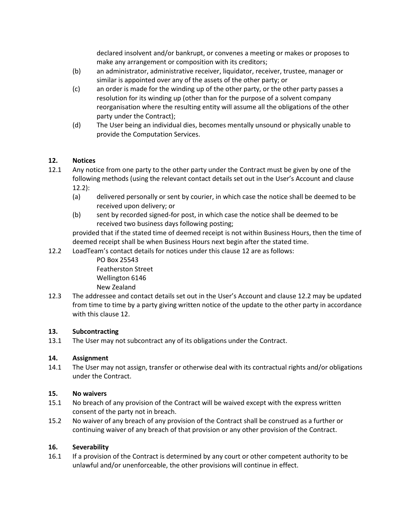declared insolvent and/or bankrupt, or convenes a meeting or makes or proposes to make any arrangement or composition with its creditors;

- (b) an administrator, administrative receiver, liquidator, receiver, trustee, manager or similar is appointed over any of the assets of the other party; or
- (c) an order is made for the winding up of the other party, or the other party passes a resolution for its winding up (other than for the purpose of a solvent company reorganisation where the resulting entity will assume all the obligations of the other party under the Contract);
- (d) The User being an individual dies, becomes mentally unsound or physically unable to provide the Computation Services.

### **12. Notices**

- 12.1 Any notice from one party to the other party under the Contract must be given by one of the following methods (using the relevant contact details set out in the User's Account and clause 12.2):
	- (a) delivered personally or sent by courier, in which case the notice shall be deemed to be received upon delivery; or
	- (b) sent by recorded signed-for post, in which case the notice shall be deemed to be received two business days following posting;

 provided that if the stated time of deemed receipt is not within Business Hours, then the time of deemed receipt shall be when Business Hours next begin after the stated time.

12.2 LoadTeam's contact details for notices under this clause 12 are as follows:

PO Box 25543 Featherston Street Wellington 6146 New Zealand

12.3 The addressee and contact details set out in the User's Account and clause 12.2 may be updated from time to time by a party giving written notice of the update to the other party in accordance with this clause 12.

#### **13. Subcontracting**

13.1 The User may not subcontract any of its obligations under the Contract.

#### **14. Assignment**

14.1 The User may not assign, transfer or otherwise deal with its contractual rights and/or obligations under the Contract.

#### **15. No waivers**

- 15.1 No breach of any provision of the Contract will be waived except with the express written consent of the party not in breach.
- 15.2 No waiver of any breach of any provision of the Contract shall be construed as a further or continuing waiver of any breach of that provision or any other provision of the Contract.

#### **16. Severability**

16.1 If a provision of the Contract is determined by any court or other competent authority to be unlawful and/or unenforceable, the other provisions will continue in effect.